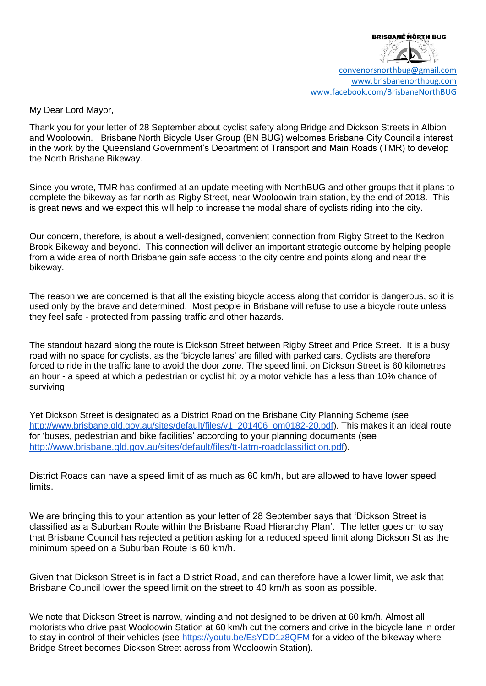

[convenorsnorthbug@gmail.com](mailto:convenorsnorthbug@gmail.com) [www.brisbanenorthbug.com](http://www.brisbanenorthbug.com/) [www.facebook.com/BrisbaneNorthBUG](http://www.facebook.com/BrisbaneNorthBUG)

My Dear Lord Mayor,

Thank you for your letter of 28 September about cyclist safety along Bridge and Dickson Streets in Albion and Wooloowin. Brisbane North Bicycle User Group (BN BUG) welcomes Brisbane City Council's interest in the work by the Queensland Government's Department of Transport and Main Roads (TMR) to develop the North Brisbane Bikeway.

Since you wrote, TMR has confirmed at an update meeting with NorthBUG and other groups that it plans to complete the bikeway as far north as Rigby Street, near Wooloowin train station, by the end of 2018. This is great news and we expect this will help to increase the modal share of cyclists riding into the city.

Our concern, therefore, is about a well-designed, convenient connection from Rigby Street to the Kedron Brook Bikeway and beyond. This connection will deliver an important strategic outcome by helping people from a wide area of north Brisbane gain safe access to the city centre and points along and near the bikeway.

The reason we are concerned is that all the existing bicycle access along that corridor is dangerous, so it is used only by the brave and determined. Most people in Brisbane will refuse to use a bicycle route unless they feel safe - protected from passing traffic and other hazards.

The standout hazard along the route is Dickson Street between Rigby Street and Price Street. It is a busy road with no space for cyclists, as the 'bicycle lanes' are filled with parked cars. Cyclists are therefore forced to ride in the traffic lane to avoid the door zone. The speed limit on Dickson Street is 60 kilometres an hour - a speed at which a pedestrian or cyclist hit by a motor vehicle has a less than 10% chance of surviving.

Yet Dickson Street is designated as a District Road on the Brisbane City Planning Scheme (see [http://www.brisbane.qld.gov.au/sites/default/files/v1\\_201406\\_om0182-20.pdf\)](http://www.brisbane.qld.gov.au/sites/default/files/v1_201406_om0182-20.pdf). This makes it an ideal route for 'buses, pedestrian and bike facilities' according to your planning documents (see [http://www.brisbane.qld.gov.au/sites/default/files/tt-latm-roadclassifiction.pdf\)](http://www.brisbane.qld.gov.au/sites/default/files/tt-latm-roadclassifiction.pdf).

District Roads can have a speed limit of as much as 60 km/h, but are allowed to have lower speed limits.

We are bringing this to your attention as your letter of 28 September says that 'Dickson Street is classified as a Suburban Route within the Brisbane Road Hierarchy Plan'. The letter goes on to say that Brisbane Council has rejected a petition asking for a reduced speed limit along Dickson St as the minimum speed on a Suburban Route is 60 km/h.

Given that Dickson Street is in fact a District Road, and can therefore have a lower limit, we ask that Brisbane Council lower the speed limit on the street to 40 km/h as soon as possible.

We note that Dickson Street is narrow, winding and not designed to be driven at 60 km/h. Almost all motorists who drive past Wooloowin Station at 60 km/h cut the corners and drive in the bicycle lane in order to stay in control of their vehicles (see<https://youtu.be/EsYDD1z8QFM> for a video of the bikeway where Bridge Street becomes Dickson Street across from Wooloowin Station).